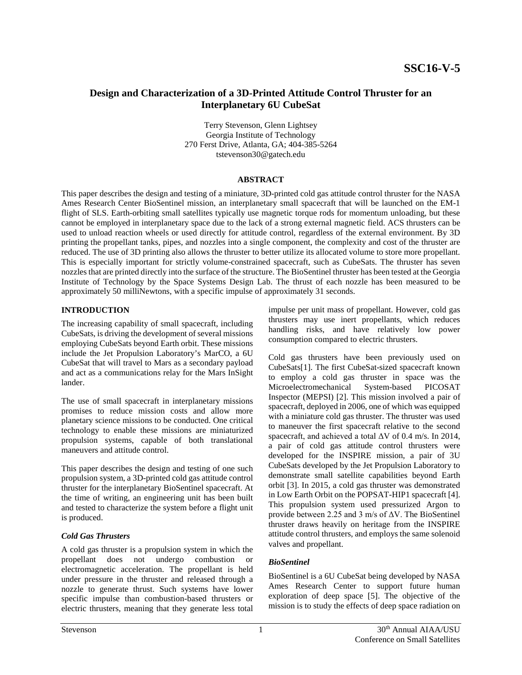# **Design and Characterization of a 3D-Printed Attitude Control Thruster for an Interplanetary 6U CubeSat**

Terry Stevenson, Glenn Lightsey Georgia Institute of Technology 270 Ferst Drive, Atlanta, GA; 404-385-5264 tstevenson30@gatech.edu

### **ABSTRACT**

This paper describes the design and testing of a miniature, 3D-printed cold gas attitude control thruster for the NASA Ames Research Center BioSentinel mission, an interplanetary small spacecraft that will be launched on the EM-1 flight of SLS. Earth-orbiting small satellites typically use magnetic torque rods for momentum unloading, but these cannot be employed in interplanetary space due to the lack of a strong external magnetic field. ACS thrusters can be used to unload reaction wheels or used directly for attitude control, regardless of the external environment. By 3D printing the propellant tanks, pipes, and nozzles into a single component, the complexity and cost of the thruster are reduced. The use of 3D printing also allows the thruster to better utilize its allocated volume to store more propellant. This is especially important for strictly volume-constrained spacecraft, such as CubeSats. The thruster has seven nozzles that are printed directly into the surface of the structure. The BioSentinel thruster has been tested at the Georgia Institute of Technology by the Space Systems Design Lab. The thrust of each nozzle has been measured to be approximately 50 milliNewtons, with a specific impulse of approximately 31 seconds.

## **INTRODUCTION**

The increasing capability of small spacecraft, including CubeSats, is driving the development of several missions employing CubeSats beyond Earth orbit. These missions include the Jet Propulsion Laboratory's MarCO, a 6U CubeSat that will travel to Mars as a secondary payload and act as a communications relay for the Mars InSight lander.

The use of small spacecraft in interplanetary missions promises to reduce mission costs and allow more planetary science missions to be conducted. One critical technology to enable these missions are miniaturized propulsion systems, capable of both translational maneuvers and attitude control.

This paper describes the design and testing of one such propulsion system, a 3D-printed cold gas attitude control thruster for the interplanetary BioSentinel spacecraft. At the time of writing, an engineering unit has been built and tested to characterize the system before a flight unit is produced.

### *Cold Gas Thrusters*

A cold gas thruster is a propulsion system in which the propellant does not undergo combustion or electromagnetic acceleration. The propellant is held under pressure in the thruster and released through a nozzle to generate thrust. Such systems have lower specific impulse than combustion-based thrusters or electric thrusters, meaning that they generate less total

impulse per unit mass of propellant. However, cold gas thrusters may use inert propellants, which reduces handling risks, and have relatively low power consumption compared to electric thrusters.

Cold gas thrusters have been previously used on CubeSats[1]. The first CubeSat-sized spacecraft known to employ a cold gas thruster in space was the Microelectromechanical System-based PICOSAT Inspector (MEPSI) [2]. This mission involved a pair of spacecraft, deployed in 2006, one of which was equipped with a miniature cold gas thruster. The thruster was used to maneuver the first spacecraft relative to the second spacecraft, and achieved a total ΔV of 0.4 m/s. In 2014, a pair of cold gas attitude control thrusters were developed for the INSPIRE mission, a pair of 3U CubeSats developed by the Jet Propulsion Laboratory to demonstrate small satellite capabilities beyond Earth orbit [3]. In 2015, a cold gas thruster was demonstrated in Low Earth Orbit on the POPSAT-HIP1 spacecraft [4]. This propulsion system used pressurized Argon to provide between 2.25 and 3 m/s of ΔV. The BioSentinel thruster draws heavily on heritage from the INSPIRE attitude control thrusters, and employs the same solenoid valves and propellant.

## *BioSentinel*

BioSentinel is a 6U CubeSat being developed by NASA Ames Research Center to support future human exploration of deep space [5]. The objective of the mission is to study the effects of deep space radiation on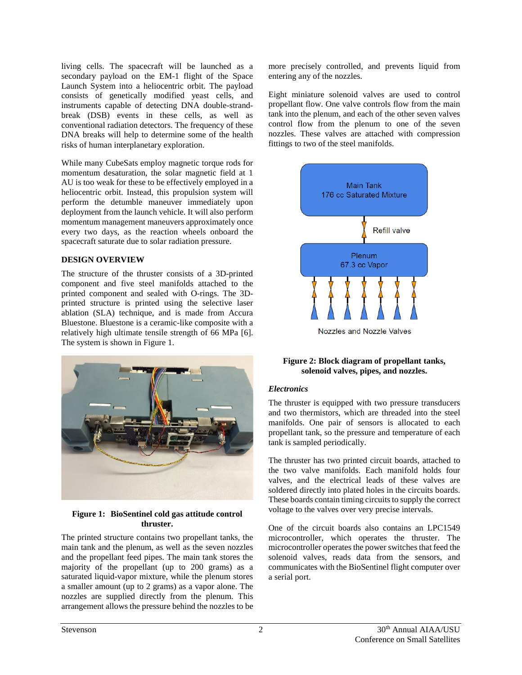living cells. The spacecraft will be launched as a secondary payload on the EM-1 flight of the Space Launch System into a heliocentric orbit. The payload consists of genetically modified yeast cells, and instruments capable of detecting DNA double-strandbreak (DSB) events in these cells, as well as conventional radiation detectors. The frequency of these DNA breaks will help to determine some of the health risks of human interplanetary exploration.

While many CubeSats employ magnetic torque rods for momentum desaturation, the solar magnetic field at 1 AU is too weak for these to be effectively employed in a heliocentric orbit. Instead, this propulsion system will perform the detumble maneuver immediately upon deployment from the launch vehicle. It will also perform momentum management maneuvers approximately once every two days, as the reaction wheels onboard the spacecraft saturate due to solar radiation pressure.

## **DESIGN OVERVIEW**

The structure of the thruster consists of a 3D-printed component and five steel manifolds attached to the printed component and sealed with O-rings. The 3Dprinted structure is printed using the selective laser ablation (SLA) technique, and is made from Accura Bluestone. Bluestone is a ceramic-like composite with a relatively high ultimate tensile strength of 66 MPa [6]. The system is shown in [Figure 1.](#page-1-0)



### <span id="page-1-0"></span>**Figure 1: BioSentinel cold gas attitude control thruster.**

The printed structure contains two propellant tanks, the main tank and the plenum, as well as the seven nozzles and the propellant feed pipes. The main tank stores the majority of the propellant (up to 200 grams) as a saturated liquid-vapor mixture, while the plenum stores a smaller amount (up to 2 grams) as a vapor alone. The nozzles are supplied directly from the plenum. This arrangement allows the pressure behind the nozzles to be

more precisely controlled, and prevents liquid from entering any of the nozzles.

Eight miniature solenoid valves are used to control propellant flow. One valve controls flow from the main tank into the plenum, and each of the other seven valves control flow from the plenum to one of the seven nozzles. These valves are attached with compression fittings to two of the steel manifolds.



## **Figure 2: Block diagram of propellant tanks, solenoid valves, pipes, and nozzles.**

### *Electronics*

The thruster is equipped with two pressure transducers and two thermistors, which are threaded into the steel manifolds. One pair of sensors is allocated to each propellant tank, so the pressure and temperature of each tank is sampled periodically.

The thruster has two printed circuit boards, attached to the two valve manifolds. Each manifold holds four valves, and the electrical leads of these valves are soldered directly into plated holes in the circuits boards. These boards contain timing circuits to supply the correct voltage to the valves over very precise intervals.

One of the circuit boards also contains an LPC1549 microcontroller, which operates the thruster. The microcontroller operates the power switches that feed the solenoid valves, reads data from the sensors, and communicates with the BioSentinel flight computer over a serial port.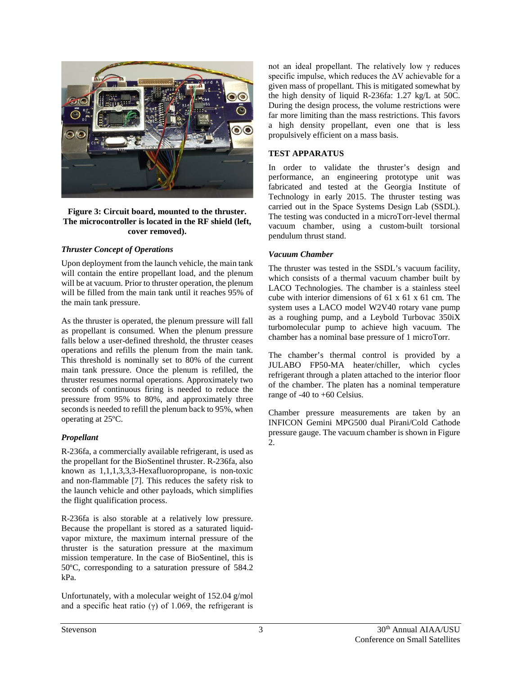

**Figure 3: Circuit board, mounted to the thruster. The microcontroller is located in the RF shield (left, cover removed).**

## *Thruster Concept of Operations*

Upon deployment from the launch vehicle, the main tank will contain the entire propellant load, and the plenum will be at vacuum. Prior to thruster operation, the plenum will be filled from the main tank until it reaches 95% of the main tank pressure.

As the thruster is operated, the plenum pressure will fall as propellant is consumed. When the plenum pressure falls below a user-defined threshold, the thruster ceases operations and refills the plenum from the main tank. This threshold is nominally set to 80% of the current main tank pressure. Once the plenum is refilled, the thruster resumes normal operations. Approximately two seconds of continuous firing is needed to reduce the pressure from 95% to 80%, and approximately three seconds is needed to refill the plenum back to 95%, when operating at 25ºC.

### *Propellant*

R-236fa, a commercially available refrigerant, is used as the propellant for the BioSentinel thruster. R-236fa, also known as 1,1,1,3,3,3-Hexafluoropropane, is non-toxic and non-flammable [7]. This reduces the safety risk to the launch vehicle and other payloads, which simplifies the flight qualification process.

R-236fa is also storable at a relatively low pressure. Because the propellant is stored as a saturated liquidvapor mixture, the maximum internal pressure of the thruster is the saturation pressure at the maximum mission temperature. In the case of BioSentinel, this is 50ºC, corresponding to a saturation pressure of 584.2 kPa.

Unfortunately, with a molecular weight of 152.04 g/mol and a specific heat ratio (γ) of 1.069, the refrigerant is

not an ideal propellant. The relatively low γ reduces specific impulse, which reduces the ΔV achievable for a given mass of propellant. This is mitigated somewhat by the high density of liquid R-236fa: 1.27 kg/L at 50C. During the design process, the volume restrictions were far more limiting than the mass restrictions. This favors a high density propellant, even one that is less propulsively efficient on a mass basis.

## **TEST APPARATUS**

In order to validate the thruster's design and performance, an engineering prototype unit was fabricated and tested at the Georgia Institute of Technology in early 2015. The thruster testing was carried out in the Space Systems Design Lab (SSDL). The testing was conducted in a microTorr-level thermal vacuum chamber, using a custom-built torsional pendulum thrust stand.

## *Vacuum Chamber*

The thruster was tested in the SSDL's vacuum facility, which consists of a thermal vacuum chamber built by LACO Technologies. The chamber is a stainless steel cube with interior dimensions of 61 x 61 x 61 cm. The system uses a LACO model W2V40 rotary vane pump as a roughing pump, and a Leybold Turbovac 350iX turbomolecular pump to achieve high vacuum. The chamber has a nominal base pressure of 1 microTorr.

The chamber's thermal control is provided by a JULABO FP50-MA heater/chiller, which cycles refrigerant through a platen attached to the interior floor of the chamber. The platen has a nominal temperature range of -40 to +60 Celsius.

Chamber pressure measurements are taken by an INFICON Gemini MPG500 dual Pirani/Cold Cathode pressure gauge. The vacuum chamber is shown in [Figure](#page-3-0)  [2.](#page-3-0)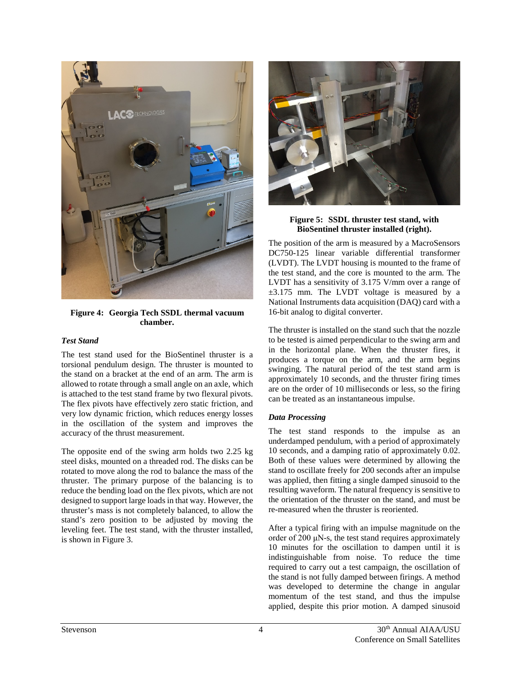

**Figure 4: Georgia Tech SSDL thermal vacuum chamber.**

### <span id="page-3-0"></span>*Test Stand*

The test stand used for the BioSentinel thruster is a torsional pendulum design. The thruster is mounted to the stand on a bracket at the end of an arm. The arm is allowed to rotate through a small angle on an axle, which is attached to the test stand frame by two flexural pivots. The flex pivots have effectively zero static friction, and very low dynamic friction, which reduces energy losses in the oscillation of the system and improves the accuracy of the thrust measurement.

The opposite end of the swing arm holds two 2.25 kg steel disks, mounted on a threaded rod. The disks can be rotated to move along the rod to balance the mass of the thruster. The primary purpose of the balancing is to reduce the bending load on the flex pivots, which are not designed to support large loads in that way. However, the thruster's mass is not completely balanced, to allow the stand's zero position to be adjusted by moving the leveling feet. The test stand, with the thruster installed, is shown in [Figure 3.](#page-3-1)



**Figure 5: SSDL thruster test stand, with BioSentinel thruster installed (right).**

<span id="page-3-1"></span>The position of the arm is measured by a MacroSensors DC750-125 linear variable differential transformer (LVDT). The LVDT housing is mounted to the frame of the test stand, and the core is mounted to the arm. The LVDT has a sensitivity of 3.175 V/mm over a range of ±3.175 mm. The LVDT voltage is measured by a National Instruments data acquisition (DAQ) card with a 16-bit analog to digital converter.

The thruster is installed on the stand such that the nozzle to be tested is aimed perpendicular to the swing arm and in the horizontal plane. When the thruster fires, it produces a torque on the arm, and the arm begins swinging. The natural period of the test stand arm is approximately 10 seconds, and the thruster firing times are on the order of 10 milliseconds or less, so the firing can be treated as an instantaneous impulse.

## *Data Processing*

The test stand responds to the impulse as an underdamped pendulum, with a period of approximately 10 seconds, and a damping ratio of approximately 0.02. Both of these values were determined by allowing the stand to oscillate freely for 200 seconds after an impulse was applied, then fitting a single damped sinusoid to the resulting waveform. The natural frequency is sensitive to the orientation of the thruster on the stand, and must be re-measured when the thruster is reoriented.

After a typical firing with an impulse magnitude on the order of 200 μN-s, the test stand requires approximately 10 minutes for the oscillation to dampen until it is indistinguishable from noise. To reduce the time required to carry out a test campaign, the oscillation of the stand is not fully damped between firings. A method was developed to determine the change in angular momentum of the test stand, and thus the impulse applied, despite this prior motion. A damped sinusoid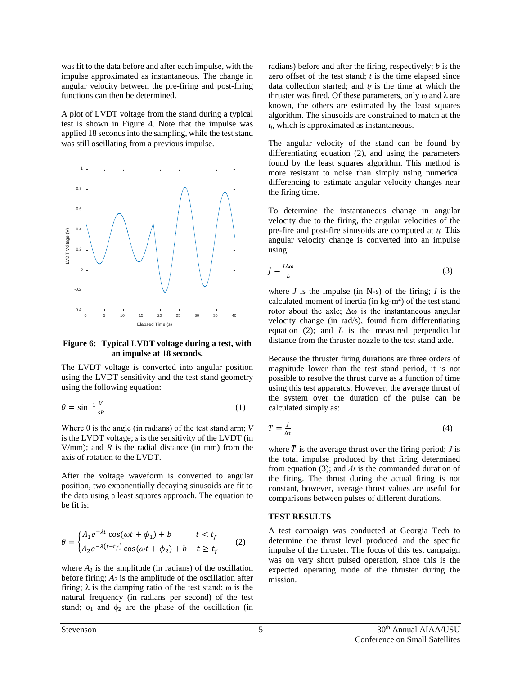was fit to the data before and after each impulse, with the impulse approximated as instantaneous. The change in angular velocity between the pre-firing and post-firing functions can then be determined.

A plot of LVDT voltage from the stand during a typical test is shown in [Figure 4.](#page-4-0) Note that the impulse was applied 18 seconds into the sampling, while the test stand was still oscillating from a previous impulse.



<span id="page-4-0"></span>**Figure 6: Typical LVDT voltage during a test, with an impulse at 18 seconds.**

The LVDT voltage is converted into angular position using the LVDT sensitivity and the test stand geometry using the following equation:

$$
\theta = \sin^{-1} \frac{V}{sR} \tag{1}
$$

Where  $\theta$  is the angle (in radians) of the test stand arm; *V* is the LVDT voltage; *s* is the sensitivity of the LVDT (in  $V/mm$ ); and *R* is the radial distance (in mm) from the axis of rotation to the LVDT.

After the voltage waveform is converted to angular position, two exponentially decaying sinusoids are fit to the data using a least squares approach. The equation to be fit is:

$$
\theta = \begin{cases} A_1 e^{-\lambda t} \cos(\omega t + \phi_1) + b & t < t_f \\ A_2 e^{-\lambda (t - t_f)} \cos(\omega t + \phi_2) + b & t \ge t_f \end{cases}
$$
 (2)

where  $A<sub>l</sub>$  is the amplitude (in radians) of the oscillation before firing;  $A_2$  is the amplitude of the oscillation after firing;  $\lambda$  is the damping ratio of the test stand;  $\omega$  is the natural frequency (in radians per second) of the test stand;  $\phi_1$  and  $\phi_2$  are the phase of the oscillation (in

radians) before and after the firing, respectively; *b* is the zero offset of the test stand; *t* is the time elapsed since data collection started; and  $t_f$  is the time at which the thruster was fired. Of these parameters, only  $\omega$  and  $\lambda$  are known, the others are estimated by the least squares algorithm. The sinusoids are constrained to match at the *tf,* which is approximated as instantaneous.

The angular velocity of the stand can be found by differentiating equation (2), and using the parameters found by the least squares algorithm. This method is more resistant to noise than simply using numerical differencing to estimate angular velocity changes near the firing time.

To determine the instantaneous change in angular velocity due to the firing, the angular velocities of the pre-fire and post-fire sinusoids are computed at  $t_f$ . This angular velocity change is converted into an impulse using:

$$
J = \frac{l\Delta\omega}{L} \tag{3}
$$

where *J* is the impulse (in N-s) of the firing; *I* is the calculated moment of inertia (in  $kg-m^2$ ) of the test stand rotor about the axle;  $\Delta\omega$  is the instantaneous angular velocity change (in rad/s), found from differentiating equation (2); and *L* is the measured perpendicular distance from the thruster nozzle to the test stand axle.

Because the thruster firing durations are three orders of magnitude lower than the test stand period, it is not possible to resolve the thrust curve as a function of time using this test apparatus. However, the average thrust of the system over the duration of the pulse can be calculated simply as:

$$
\bar{T} = \frac{I}{\Delta t} \tag{4}
$$

where  $\bar{T}$  is the average thrust over the firing period; *J* is the total impulse produced by that firing determined from equation (3); and *Δt* is the commanded duration of the firing. The thrust during the actual firing is not constant, however, average thrust values are useful for comparisons between pulses of different durations.

#### **TEST RESULTS**

A test campaign was conducted at Georgia Tech to determine the thrust level produced and the specific impulse of the thruster. The focus of this test campaign was on very short pulsed operation, since this is the expected operating mode of the thruster during the mission.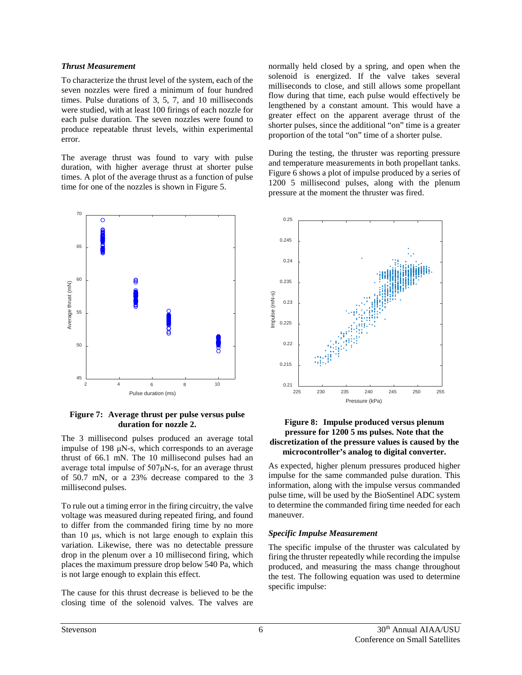#### *Thrust Measurement*

To characterize the thrust level of the system, each of the seven nozzles were fired a minimum of four hundred times. Pulse durations of 3, 5, 7, and 10 milliseconds were studied, with at least 100 firings of each nozzle for each pulse duration. The seven nozzles were found to produce repeatable thrust levels, within experimental error.

The average thrust was found to vary with pulse duration, with higher average thrust at shorter pulse times. A plot of the average thrust as a function of pulse time for one of the nozzles is shown in [Figure 5.](#page-5-0)



#### <span id="page-5-0"></span>**Figure 7: Average thrust per pulse versus pulse duration for nozzle 2.**

The 3 millisecond pulses produced an average total impulse of 198 μN-s, which corresponds to an average thrust of 66.1 mN. The 10 millisecond pulses had an average total impulse of 507μN-s, for an average thrust of 50.7 mN, or a 23% decrease compared to the 3 millisecond pulses.

To rule out a timing error in the firing circuitry, the valve voltage was measured during repeated firing, and found to differ from the commanded firing time by no more than 10 μs, which is not large enough to explain this variation. Likewise, there was no detectable pressure drop in the plenum over a 10 millisecond firing, which places the maximum pressure drop below 540 Pa, which is not large enough to explain this effect.

The cause for this thrust decrease is believed to be the closing time of the solenoid valves. The valves are normally held closed by a spring, and open when the solenoid is energized. If the valve takes several milliseconds to close, and still allows some propellant flow during that time, each pulse would effectively be lengthened by a constant amount. This would have a greater effect on the apparent average thrust of the shorter pulses, since the additional "on" time is a greater proportion of the total "on" time of a shorter pulse.

During the testing, the thruster was reporting pressure and temperature measurements in both propellant tanks. [Figure 6](#page-5-1) shows a plot of impulse produced by a series of 1200 5 millisecond pulses, along with the plenum pressure at the moment the thruster was fired.



#### <span id="page-5-1"></span>**Figure 8: Impulse produced versus plenum pressure for 1200 5 ms pulses. Note that the discretization of the pressure values is caused by the microcontroller's analog to digital converter.**

As expected, higher plenum pressures produced higher impulse for the same commanded pulse duration. This information, along with the impulse versus commanded pulse time, will be used by the BioSentinel ADC system to determine the commanded firing time needed for each maneuver.

### *Specific Impulse Measurement*

The specific impulse of the thruster was calculated by firing the thruster repeatedly while recording the impulse produced, and measuring the mass change throughout the test. The following equation was used to determine specific impulse: